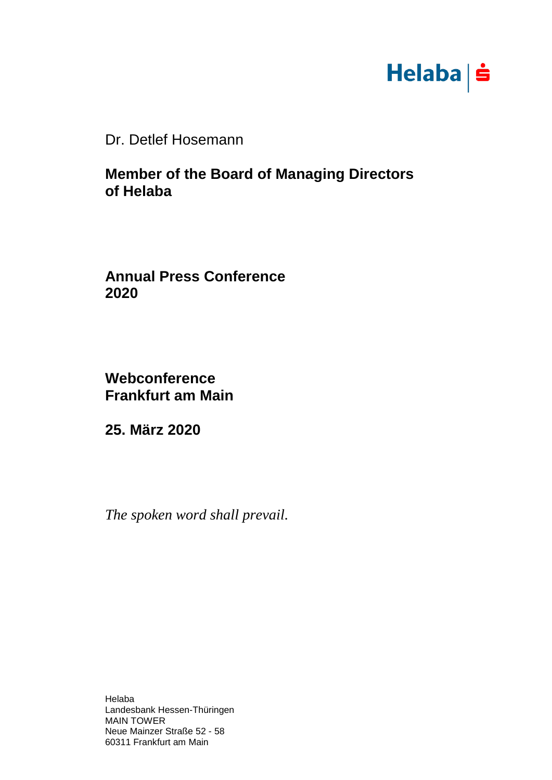

Dr. Detlef Hosemann

## **Member of the Board of Managing Directors of Helaba**

**Annual Press Conference 2020**

**Webconference Frankfurt am Main**

**25. März 2020**

*The spoken word shall prevail.*

Helaba Landesbank Hessen-Thüringen MAIN TOWER Neue Mainzer Straße 52 - 58 60311 Frankfurt am Main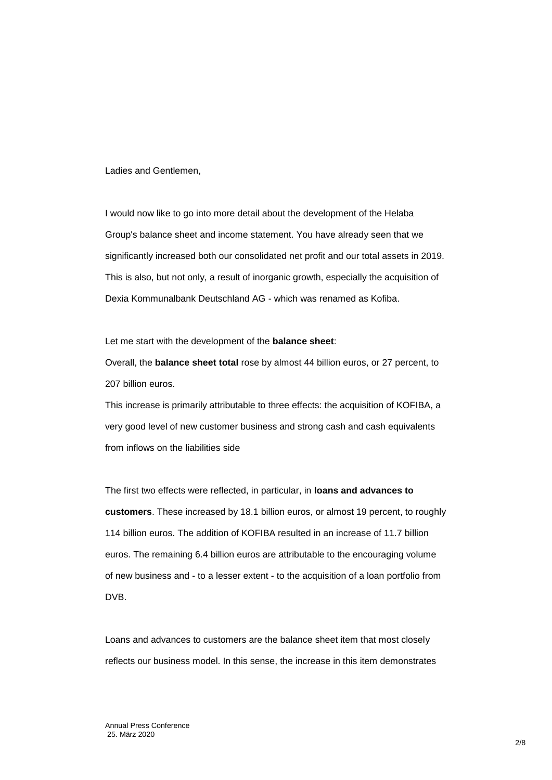Ladies and Gentlemen,

I would now like to go into more detail about the development of the Helaba Group's balance sheet and income statement. You have already seen that we significantly increased both our consolidated net profit and our total assets in 2019. This is also, but not only, a result of inorganic growth, especially the acquisition of Dexia Kommunalbank Deutschland AG - which was renamed as Kofiba.

Let me start with the development of the **balance sheet**:

Overall, the **balance sheet total** rose by almost 44 billion euros, or 27 percent, to 207 billion euros.

This increase is primarily attributable to three effects: the acquisition of KOFIBA, a very good level of new customer business and strong cash and cash equivalents from inflows on the liabilities side

The first two effects were reflected, in particular, in **loans and advances to customers**. These increased by 18.1 billion euros, or almost 19 percent, to roughly 114 billion euros. The addition of KOFIBA resulted in an increase of 11.7 billion euros. The remaining 6.4 billion euros are attributable to the encouraging volume of new business and - to a lesser extent - to the acquisition of a loan portfolio from DVB.

Loans and advances to customers are the balance sheet item that most closely reflects our business model. In this sense, the increase in this item demonstrates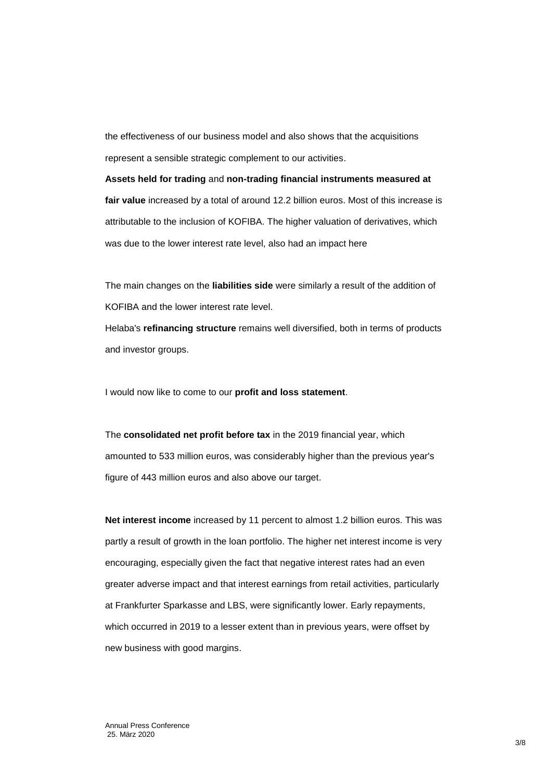the effectiveness of our business model and also shows that the acquisitions represent a sensible strategic complement to our activities.

**Assets held for trading** and **non-trading financial instruments measured at fair value** increased by a total of around 12.2 billion euros. Most of this increase is attributable to the inclusion of KOFIBA. The higher valuation of derivatives, which was due to the lower interest rate level, also had an impact here

The main changes on the **liabilities side** were similarly a result of the addition of KOFIBA and the lower interest rate level. Helaba's **refinancing structure** remains well diversified, both in terms of products and investor groups.

I would now like to come to our **profit and loss statement**.

The **consolidated net profit before tax** in the 2019 financial year, which amounted to 533 million euros, was considerably higher than the previous year's figure of 443 million euros and also above our target.

**Net interest income** increased by 11 percent to almost 1.2 billion euros. This was partly a result of growth in the loan portfolio. The higher net interest income is very encouraging, especially given the fact that negative interest rates had an even greater adverse impact and that interest earnings from retail activities, particularly at Frankfurter Sparkasse and LBS, were significantly lower. Early repayments, which occurred in 2019 to a lesser extent than in previous years, were offset by new business with good margins.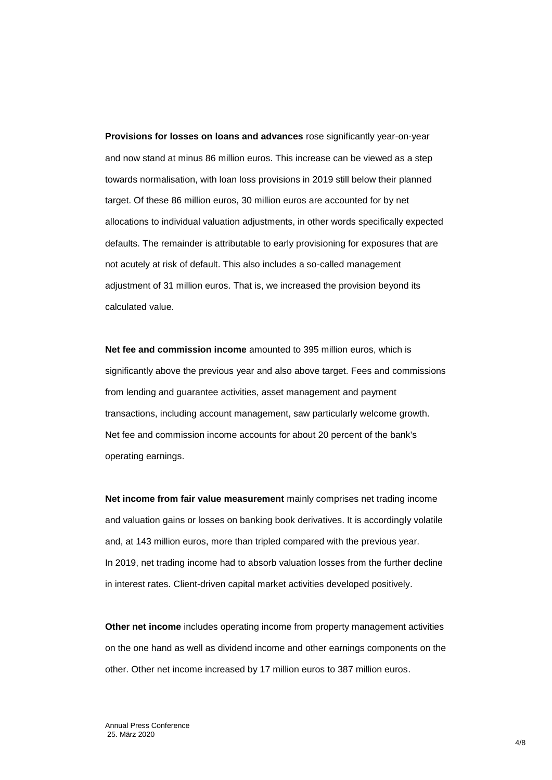**Provisions for losses on loans and advances** rose significantly year-on-year and now stand at minus 86 million euros. This increase can be viewed as a step towards normalisation, with loan loss provisions in 2019 still below their planned target. Of these 86 million euros, 30 million euros are accounted for by net allocations to individual valuation adjustments, in other words specifically expected defaults. The remainder is attributable to early provisioning for exposures that are not acutely at risk of default. This also includes a so-called management adjustment of 31 million euros. That is, we increased the provision beyond its calculated value.

**Net fee and commission income** amounted to 395 million euros, which is significantly above the previous year and also above target. Fees and commissions from lending and guarantee activities, asset management and payment transactions, including account management, saw particularly welcome growth. Net fee and commission income accounts for about 20 percent of the bank's operating earnings.

**Net income from fair value measurement** mainly comprises net trading income and valuation gains or losses on banking book derivatives. It is accordingly volatile and, at 143 million euros, more than tripled compared with the previous year. In 2019, net trading income had to absorb valuation losses from the further decline in interest rates. Client-driven capital market activities developed positively.

**Other net income** includes operating income from property management activities on the one hand as well as dividend income and other earnings components on the other. Other net income increased by 17 million euros to 387 million euros.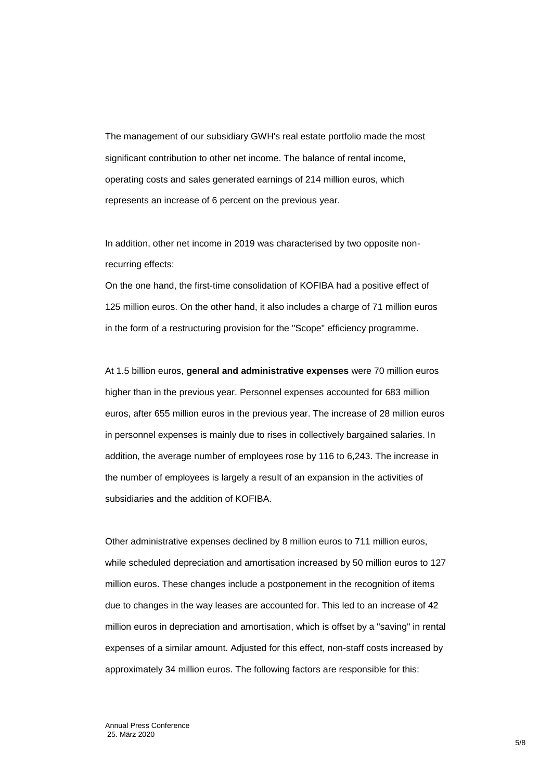The management of our subsidiary GWH's real estate portfolio made the most significant contribution to other net income. The balance of rental income, operating costs and sales generated earnings of 214 million euros, which represents an increase of 6 percent on the previous year.

In addition, other net income in 2019 was characterised by two opposite nonrecurring effects:

On the one hand, the first-time consolidation of KOFIBA had a positive effect of 125 million euros. On the other hand, it also includes a charge of 71 million euros in the form of a restructuring provision for the "Scope" efficiency programme.

At 1.5 billion euros, **general and administrative expenses** were 70 million euros higher than in the previous year. Personnel expenses accounted for 683 million euros, after 655 million euros in the previous year. The increase of 28 million euros in personnel expenses is mainly due to rises in collectively bargained salaries. In addition, the average number of employees rose by 116 to 6,243. The increase in the number of employees is largely a result of an expansion in the activities of subsidiaries and the addition of KOFIBA.

Other administrative expenses declined by 8 million euros to 711 million euros, while scheduled depreciation and amortisation increased by 50 million euros to 127 million euros. These changes include a postponement in the recognition of items due to changes in the way leases are accounted for. This led to an increase of 42 million euros in depreciation and amortisation, which is offset by a "saving" in rental expenses of a similar amount. Adjusted for this effect, non-staff costs increased by approximately 34 million euros. The following factors are responsible for this: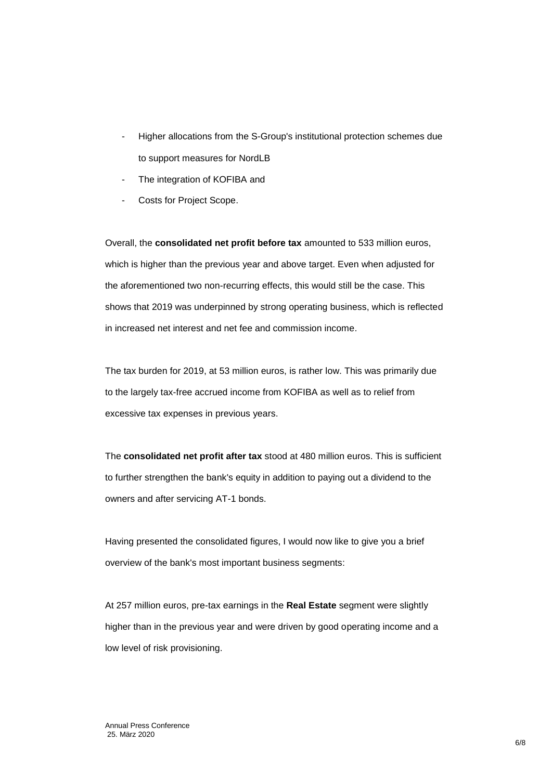- Higher allocations from the S-Group's institutional protection schemes due to support measures for NordLB
- The integration of KOFIBA and
- Costs for Project Scope.

Overall, the **consolidated net profit before tax** amounted to 533 million euros, which is higher than the previous year and above target. Even when adjusted for the aforementioned two non-recurring effects, this would still be the case. This shows that 2019 was underpinned by strong operating business, which is reflected in increased net interest and net fee and commission income.

The tax burden for 2019, at 53 million euros, is rather low. This was primarily due to the largely tax-free accrued income from KOFIBA as well as to relief from excessive tax expenses in previous years.

The **consolidated net profit after tax** stood at 480 million euros. This is sufficient to further strengthen the bank's equity in addition to paying out a dividend to the owners and after servicing AT-1 bonds.

Having presented the consolidated figures, I would now like to give you a brief overview of the bank's most important business segments:

At 257 million euros, pre-tax earnings in the **Real Estate** segment were slightly higher than in the previous year and were driven by good operating income and a low level of risk provisioning.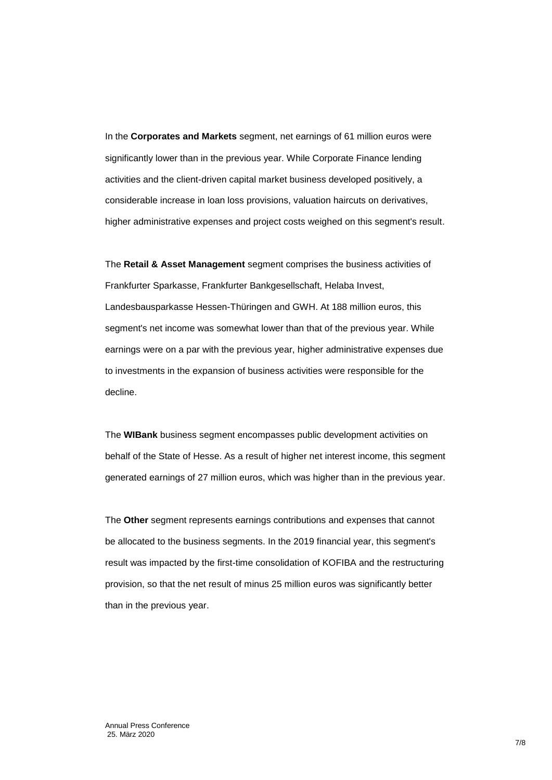In the **Corporates and Markets** segment, net earnings of 61 million euros were significantly lower than in the previous year. While Corporate Finance lending activities and the client-driven capital market business developed positively, a considerable increase in loan loss provisions, valuation haircuts on derivatives, higher administrative expenses and project costs weighed on this segment's result.

The **Retail & Asset Management** segment comprises the business activities of Frankfurter Sparkasse, Frankfurter Bankgesellschaft, Helaba Invest, Landesbausparkasse Hessen-Thüringen and GWH. At 188 million euros, this segment's net income was somewhat lower than that of the previous year. While earnings were on a par with the previous year, higher administrative expenses due to investments in the expansion of business activities were responsible for the decline.

The **WIBank** business segment encompasses public development activities on behalf of the State of Hesse. As a result of higher net interest income, this segment generated earnings of 27 million euros, which was higher than in the previous year.

The **Other** segment represents earnings contributions and expenses that cannot be allocated to the business segments. In the 2019 financial year, this segment's result was impacted by the first-time consolidation of KOFIBA and the restructuring provision, so that the net result of minus 25 million euros was significantly better than in the previous year.